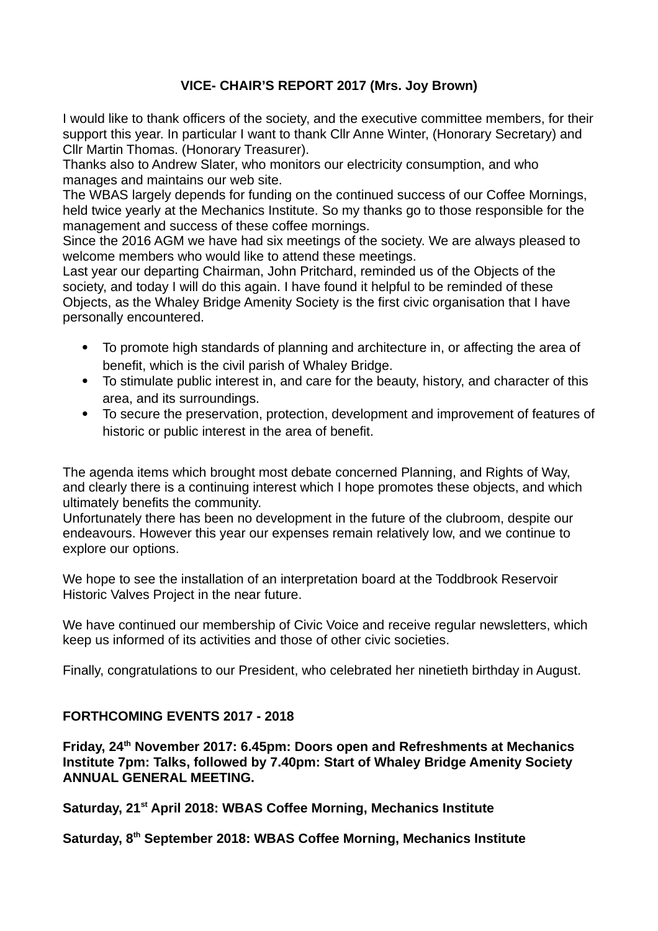## **VICE- CHAIR'S REPORT 2017 (Mrs. Joy Brown)**

I would like to thank officers of the society, and the executive committee members, for their support this year. In particular I want to thank Cllr Anne Winter, (Honorary Secretary) and Cllr Martin Thomas. (Honorary Treasurer).

Thanks also to Andrew Slater, who monitors our electricity consumption, and who manages and maintains our web site.

The WBAS largely depends for funding on the continued success of our Coffee Mornings, held twice yearly at the Mechanics Institute. So my thanks go to those responsible for the management and success of these coffee mornings.

Since the 2016 AGM we have had six meetings of the society. We are always pleased to welcome members who would like to attend these meetings.

Last year our departing Chairman, John Pritchard, reminded us of the Objects of the society, and today I will do this again. I have found it helpful to be reminded of these Objects, as the Whaley Bridge Amenity Society is the first civic organisation that I have personally encountered.

- To promote high standards of planning and architecture in, or affecting the area of benefit, which is the civil parish of Whaley Bridge.
- To stimulate public interest in, and care for the beauty, history, and character of this area, and its surroundings.
- To secure the preservation, protection, development and improvement of features of historic or public interest in the area of benefit.

The agenda items which brought most debate concerned Planning, and Rights of Way, and clearly there is a continuing interest which I hope promotes these objects, and which ultimately benefits the community.

Unfortunately there has been no development in the future of the clubroom, despite our endeavours. However this year our expenses remain relatively low, and we continue to explore our options.

We hope to see the installation of an interpretation board at the Toddbrook Reservoir Historic Valves Project in the near future.

We have continued our membership of Civic Voice and receive regular newsletters, which keep us informed of its activities and those of other civic societies.

Finally, congratulations to our President, who celebrated her ninetieth birthday in August.

## **FORTHCOMING EVENTS 2017 - 2018**

**Friday, 24th November 2017: 6.45pm: Doors open and Refreshments at Mechanics Institute 7pm: Talks, followed by 7.40pm: Start of Whaley Bridge Amenity Society ANNUAL GENERAL MEETING.**

**Saturday, 21st April 2018: WBAS Coffee Morning, Mechanics Institute**

**Saturday, 8th September 2018: WBAS Coffee Morning, Mechanics Institute**